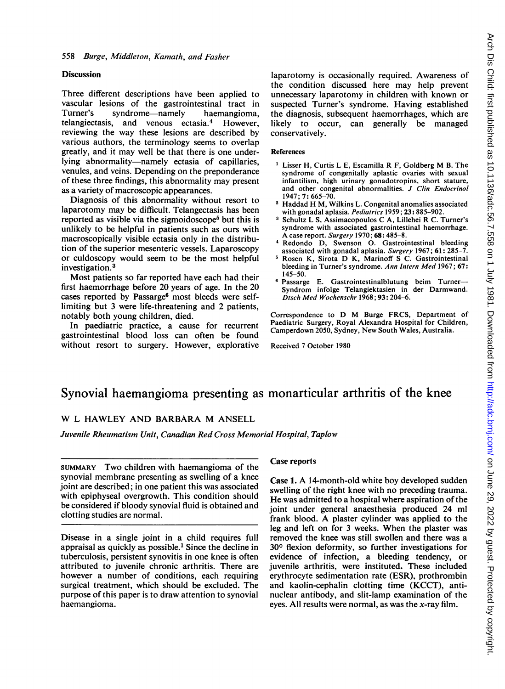## **Discussion**

Three different descriptions have been applied to vascular lesions of the gastrointestinal tract in Turner's syndrome—namely haemangioma, telangiectasis, and venous ectasia.4 However, reviewing the way these lesions are described by various authors, the terminology seems to overlap greatly, and it may well be that there is one underlying abnormality-namely ectasia of capillaries, venules, and veins. Depending on the preponderance of these three findings, this abnormality may present as a variety of macroscopic appearances.

Diagnosis of this abnormality without resort to laparotomy may be difficult. Telangectasis has been reported as visible via the sigmoidoscope<sup>5</sup> but this is unlikely to be helpful in patients such as ours with macroscopically visible ectasia only in the distribution of the superior mesenteric vessels. Laparoscopy or culdoscopy would seem to be the most helpful investigation.3

Most patients so far reported have each had their first haemorrhage before 20 years of age. In the 20 cases reported by Passarge<sup>6</sup> most bleeds were selflimiting but 3 were life-threatening and 2 patients, notably both young children, died.

In paediatric practice, a cause for recurrent gastrointestinal blood loss can often be found without resort to surgery. However, explorative

laparotomy is occasionally required. Awareness of the condition discussed here may help prevent unnecessary laparotomy in children with known or suspected Turner's syndrome. Having established the diagnosis, subsequent haemorrhages, which are likely to occur, can generally be managed conservatively.

#### References

- $<sup>1</sup>$  Lisser H, Curtis L E, Escamilla R F, Goldberg M B. The</sup> syndrome of congenitally aplastic ovaries with sexual infantilism, high urinary gonadotropins, short stature, and other congenital abnormalities. J Clin Endocrinol 1947; 7: 665-70.
- <sup>2</sup> Haddad H M, Wilkins L. Congenital anomalies associated with gonadal aplasia. Pediatrics 1959; 23: 885-902.
- <sup>3</sup> Schultz L S, Assimacopoulos C A, Lillehei R C. Turner's syndrome with associated gastrointestinal haemorrhage. A case report. Surgery 1970; 68: 485-8.
- <sup>4</sup> Redondo D, Swenson 0. Gastrointestinal bleeding associated with gonadal aplasia. Surgery 1967; 61: 285-7.
- <sup>5</sup> Rosen K, Sirota D K, Marinoff <sup>S</sup> C. Gastrointestinal bleeding in Turner's syndrome. Ann Intern Med 1967; 67: 145-50.
- <sup>6</sup> Passarge E. Gastrointestinalblutung beim Turner-Syndrom infolge Telangiektasien in der Darmwand. Dtsch Med Wochenschr 1968; 93: 204-6.

Correspondence to D M Burge FRCS, Department of Paediatric Surgery, Royal Alexandra Hospital for Children, Camperdown 2050, Sydney, New South Wales, Australia.

Received 7 October 1980

# Synovial haemangioma presenting as monarticular arthritis of the knee

# W <sup>L</sup> HAWLEY AND BARBARA M ANSELL

Juvenile Rheumatism Unit, Canadian Red Cross Memorial Hospital, Taplow

SUMMARY Two children with haemangioma of the synovial membrane presenting as swelling of a knee joint are described; in one patient this was associated with epiphyseal overgrowth. This condition should be considered if bloody synovial fluid is obtained and clotting studies are normal.

Disease in a single joint in a child requires full appraisal as quickly as possible.<sup>1</sup> Since the decline in tuberculosis, persistent synovitis in one knee is often attributed to juvenile chronic arthritis. There are however a number of conditions, each requiring surgical treatment, which should be excluded. The purpose of this paper is to draw attention to synovial haemangioma.

## Case reports

Case 1. A 14-month-old white boy developed sudden swelling of the right knee with no preceding trauma. He was admitted to a hospital where aspiration of the joint under general anaesthesia produced 24 ml frank blood. A plaster cylinder was applied to the leg and left on for <sup>3</sup> weeks. When the plaster was removed the knee was still swollen and there was a 300 flexion deformity, so further investigations for evidence of infection, a bleeding tendency, or juvenile arthritis, were instituted. These included erythrocyte sedimentation rate (ESR), prothrombin and kaolin-cephalin clotting time (KCCT), antinuclear antibody, and slit-lamp examination of the eyes. All results were normal, as was the  $x$ -ray film.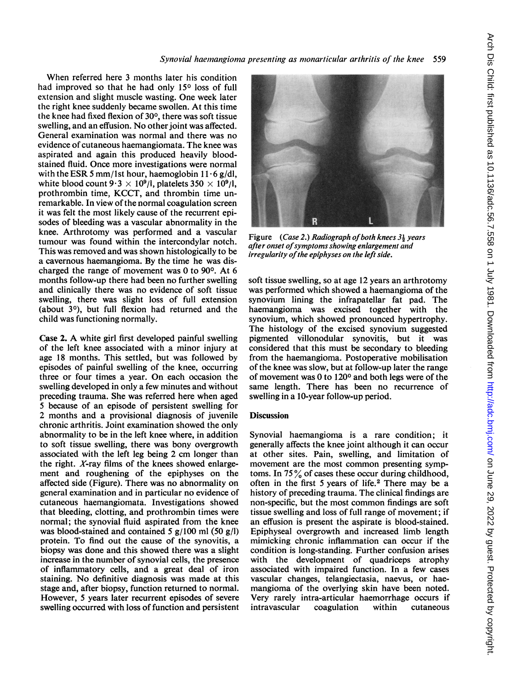Synovial haemangioma presenting as monarticular arthritis of the knee 559

When referred here <sup>3</sup> months later his condition had improved so that he had only 15<sup>°</sup> loss of full extension and slight muscle wasting. One week later the right knee suddenly became swollen. At this time the knee had fixed flexion of 30°, there was soft tissue swelling, and an effusion. No other joint was affected. General examination was normal and there was no evidence of cutaneous haemangiomata. The knee was aspirated and again this produced heavily bloodstained fluid. Once more investigations were normal with the ESR 5 mm/1st hour, haemoglobin  $11 \cdot 6$  g/dl, white blood count  $9.3 \times 10^9$ /l, platelets  $350 \times 10^9$ /l, prothrombin time, KCCT, and thrombin time unremarkable. In view of the normal coagulation screen it was felt the most likely cause of the recurrent episodes of bleeding was a vascular abnormality in the knee. Arthrotomy was performed and a vascular tumour was found within the intercondylar notch. This was removed and was shown histologically to be a cavernous haemangioma. By the time he was discharged the range of movement was 0 to 90°. At 6 months follow-up there had been no further swelling and clinically there was no evidence of soft tissue swelling, there was slight loss of full extension (about 30), but full flexion had returned and the child was functioning normally.

Case 2. A white girl first developed painful swelling of the left knee associated with a minor injury at age 18 months. This settled, but was followed by episodes of painful swelling of the knee, occurring three or four times a year. On each occasion the swelling developed in only a few minutes and without preceding trauma. She was referred here when aged 5 because of an episode of persistent swelling for 2 months and a provisional diagnosis of juvenile chronic arthritis. Joint examination showed the only abnormality to be in the left knee where, in addition to soft tissue swelling, there was bony overgrowth associated with the left leg being 2 cm longer than the right.  $X$ -ray films of the knees showed enlargement and roughening of the epiphyses on the affected side (Figure). There was no abnormality on general examination and in particular no evidence of cutaneous haemangiomata. Investigations showed that bleeding, clotting, and prothrombin times were normal; the synovial fluid aspirated from the knee was blood-stained and contained 5  $g/100$  ml (50  $g/l$ ) protein. To find out the cause of the synovitis, a biopsy was done and this showed there was a slight increase in the number of synovial cells, the presence of inflammatory cells, and a great deal of iron staining. No definitive diagnosis was made at this stage and, after biopsy, function returned to normal. However, 5 years later recurrent episodes of severe swelling occurred with loss of function and persistent



Figure (Case 2.) Radiograph of both knees  $3\frac{1}{9}$  years after onset of symptoms showing enlargement and irregularity of the epiphyses on the left side.

soft tissue swelling, so at age 12 years an arthrotomy was performed which showed a haemangioma of the synovium lining the infrapatellar fat pad. The haemangioma was excised together with the synovium, which showed pronounced hypertrophy. The histology of the excised synovium suggested pigmented villonodular synovitis, but it was considered that this must be secondary to bleeding from the haemangioma. Postoperative mobilisation of the knee was slow, but at follow-up later the range of movement was 0 to 120<sup>o</sup> and both legs were of the same length. There has been no recurrence of swelling in a 10-year follow-up period.

## **Discussion**

Synovial haemangioma is a rare condition; it generally affects the knee joint although it can occur at other sites. Pain, swelling, and limitation of movement are the most common presenting symptoms. In 75% of cases these occur during childhood, often in the first 5 years of life.<sup>2</sup> There may be a history of preceding trauma. The clinical findings are non-specific, but the most common findings are soft tissue swelling and loss of full range of movement; if an effusion is present the aspirate is blood-stained. Epiphyseal overgrowth and increased limb length mimicking chronic inflammation can occur if the condition is long-standing. Further confusion arises with the development of quadriceps atrophy associated with impaired function. In a few cases vascular changes, telangiectasia, naevus, or haemangioma of the overlying skin have been noted. Very rarely intra-articular haemorrhage occurs if intravascular